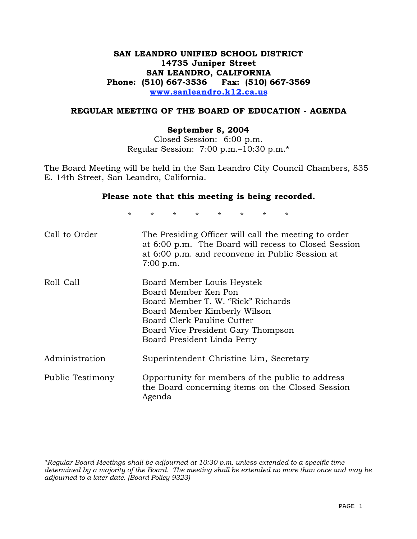# **SAN LEANDRO UNIFIED SCHOOL DISTRICT 14735 Juniper Street SAN LEANDRO, CALIFORNIA Phone: (510) 667-3536 Fax: (510) 667-3569 www.sanleandro.k12.ca.us**

## **REGULAR MEETING OF THE BOARD OF EDUCATION - AGENDA**

## **September 8, 2004**

Closed Session: 6:00 p.m. Regular Session: 7:00 p.m.–10:30 p.m.\*

The Board Meeting will be held in the San Leandro City Council Chambers, 835 E. 14th Street, San Leandro, California.

### **Please note that this meeting is being recorded.**

\* \* \* \* \* \* \* \*

| Call to Order    | The Presiding Officer will call the meeting to order<br>at 6:00 p.m. The Board will recess to Closed Session<br>at 6:00 p.m. and reconvene in Public Session at<br>7:00 p.m.                                                |
|------------------|-----------------------------------------------------------------------------------------------------------------------------------------------------------------------------------------------------------------------------|
| Roll Call        | Board Member Louis Heystek<br>Board Member Ken Pon<br>Board Member T. W. "Rick" Richards<br>Board Member Kimberly Wilson<br>Board Clerk Pauline Cutter<br>Board Vice President Gary Thompson<br>Board President Linda Perry |
| Administration   | Superintendent Christine Lim, Secretary                                                                                                                                                                                     |
| Public Testimony | Opportunity for members of the public to address<br>the Board concerning items on the Closed Session<br>Agenda                                                                                                              |

*\*Regular Board Meetings shall be adjourned at 10:30 p.m. unless extended to a specific time determined by a majority of the Board. The meeting shall be extended no more than once and may be adjourned to a later date. (Board Policy 9323)*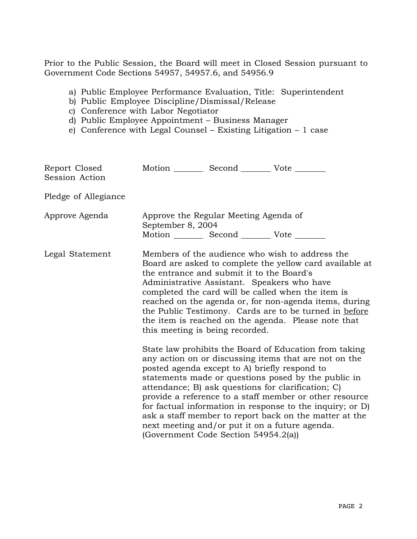Prior to the Public Session, the Board will meet in Closed Session pursuant to Government Code Sections 54957, 54957.6, and 54956.9

- a) Public Employee Performance Evaluation, Title: Superintendent
- b) Public Employee Discipline/Dismissal/Release
- c) Conference with Labor Negotiator
- d) Public Employee Appointment Business Manager
- e) Conference with Legal Counsel Existing Litigation 1 case

| Report Closed<br>Session Action | Motion __________ Second ___________ Vote ________                                                                                                                                                                                                                                                                                                                                                                                                                          |                                                    |                                                                                                                                                                                                                                                                                                                                                                                                                                                                  |  |
|---------------------------------|-----------------------------------------------------------------------------------------------------------------------------------------------------------------------------------------------------------------------------------------------------------------------------------------------------------------------------------------------------------------------------------------------------------------------------------------------------------------------------|----------------------------------------------------|------------------------------------------------------------------------------------------------------------------------------------------------------------------------------------------------------------------------------------------------------------------------------------------------------------------------------------------------------------------------------------------------------------------------------------------------------------------|--|
| Pledge of Allegiance            |                                                                                                                                                                                                                                                                                                                                                                                                                                                                             |                                                    |                                                                                                                                                                                                                                                                                                                                                                                                                                                                  |  |
| Approve Agenda                  | Approve the Regular Meeting Agenda of<br>September 8, 2004                                                                                                                                                                                                                                                                                                                                                                                                                  | Motion __________ Second ___________ Vote ________ |                                                                                                                                                                                                                                                                                                                                                                                                                                                                  |  |
| Legal Statement                 | Members of the audience who wish to address the<br>Board are asked to complete the yellow card available at<br>the entrance and submit it to the Board's<br>Administrative Assistant. Speakers who have<br>completed the card will be called when the item is<br>reached on the agenda or, for non-agenda items, during<br>the Public Testimony. Cards are to be turned in before<br>the item is reached on the agenda. Please note that<br>this meeting is being recorded. |                                                    |                                                                                                                                                                                                                                                                                                                                                                                                                                                                  |  |
|                                 | posted agenda except to A) briefly respond to                                                                                                                                                                                                                                                                                                                                                                                                                               | (Government Code Section 54954.2(a))               | State law prohibits the Board of Education from taking<br>any action on or discussing items that are not on the<br>statements made or questions posed by the public in<br>attendance; B) ask questions for clarification; C)<br>provide a reference to a staff member or other resource<br>for factual information in response to the inquiry; or D)<br>ask a staff member to report back on the matter at the<br>next meeting and/or put it on a future agenda. |  |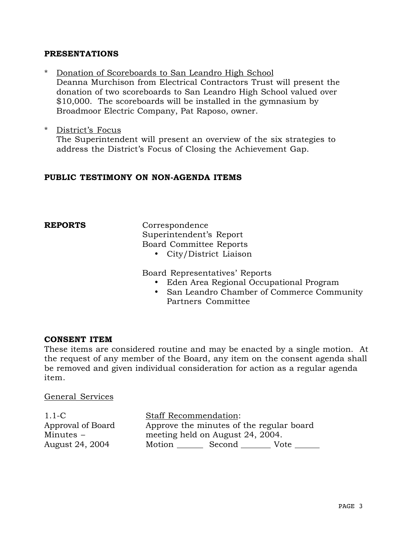## **PRESENTATIONS**

- Donation of Scoreboards to San Leandro High School Deanna Murchison from Electrical Contractors Trust will present the donation of two scoreboards to San Leandro High School valued over \$10,000. The scoreboards will be installed in the gymnasium by Broadmoor Electric Company, Pat Raposo, owner.
- \* District's Focus The Superintendent will present an overview of the six strategies to address the District's Focus of Closing the Achievement Gap.

## **PUBLIC TESTIMONY ON NON-AGENDA ITEMS**

**REPORTS** Correspondence Superintendent's Report Board Committee Reports

• City/District Liaison

Board Representatives' Reports

- Eden Area Regional Occupational Program
- San Leandro Chamber of Commerce Community Partners Committee

## **CONSENT ITEM**

These items are considered routine and may be enacted by a single motion. At the request of any member of the Board, any item on the consent agenda shall be removed and given individual consideration for action as a regular agenda item.

General Services

1.1-C Approval of Board Minutes – August 24, 2004 Staff Recommendation: Approve the minutes of the regular board meeting held on August 24, 2004. Motion Second Vote \_\_\_\_\_\_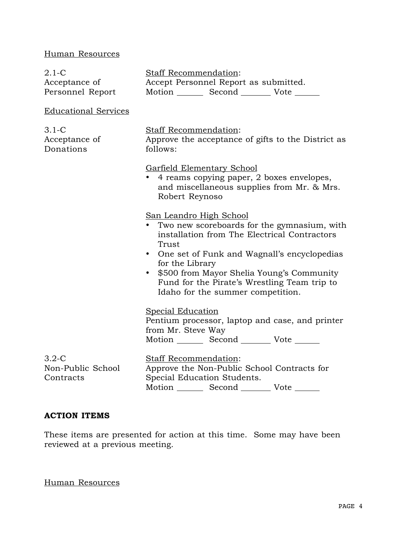# Human Resources

| $2.1 - C$<br>Acceptance of<br>Personnel Report | <b>Staff Recommendation:</b><br>Accept Personnel Report as submitted.<br>Motion _________ Second __________ Vote _______                                                                                                                                                                                                                                           |  |  |  |
|------------------------------------------------|--------------------------------------------------------------------------------------------------------------------------------------------------------------------------------------------------------------------------------------------------------------------------------------------------------------------------------------------------------------------|--|--|--|
| <b>Educational Services</b>                    |                                                                                                                                                                                                                                                                                                                                                                    |  |  |  |
| $3.1-C$<br>Acceptance of<br>Donations          | <b>Staff Recommendation:</b><br>Approve the acceptance of gifts to the District as<br>follows:                                                                                                                                                                                                                                                                     |  |  |  |
|                                                | Garfield Elementary School<br>4 reams copying paper, 2 boxes envelopes,<br>and miscellaneous supplies from Mr. & Mrs.<br>Robert Reynoso                                                                                                                                                                                                                            |  |  |  |
|                                                | San Leandro High School<br>Two new scoreboards for the gymnasium, with<br>$\bullet$<br>installation from The Electrical Contractors<br>Trust<br>One set of Funk and Wagnall's encyclopedias<br>٠<br>for the Library<br>\$500 from Mayor Shelia Young's Community<br>$\bullet$<br>Fund for the Pirate's Wrestling Team trip to<br>Idaho for the summer competition. |  |  |  |
|                                                | <b>Special Education</b><br>Pentium processor, laptop and case, and printer<br>from Mr. Steve Way<br>Motion _________ Second __________ Vote _______                                                                                                                                                                                                               |  |  |  |
| $3.2 - C$<br>Non-Public School<br>Contracts    | <b>Staff Recommendation:</b><br>Approve the Non-Public School Contracts for<br>Special Education Students.<br>Motion _________ Second ________<br>Vote                                                                                                                                                                                                             |  |  |  |

# **ACTION ITEMS**

These items are presented for action at this time. Some may have been reviewed at a previous meeting.

Human Resources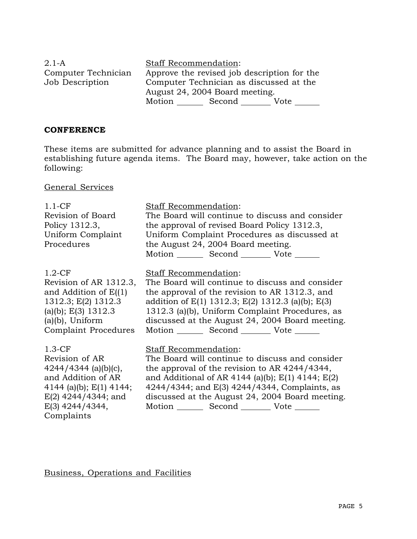| $2.1-A$             | <b>Staff Recommendation:</b>                |  |  |  |
|---------------------|---------------------------------------------|--|--|--|
| Computer Technician | Approve the revised job description for the |  |  |  |
| Job Description     | Computer Technician as discussed at the     |  |  |  |
|                     | August 24, 2004 Board meeting.              |  |  |  |
|                     | Motion<br>Second<br>Vote                    |  |  |  |

## **CONFERENCE**

These items are submitted for advance planning and to assist the Board in establishing future agenda items. The Board may, however, take action on the following:

General Services

| $1.1-CF$                  | <b>Staff Recommendation:</b>                            |  |  |  |
|---------------------------|---------------------------------------------------------|--|--|--|
| Revision of Board         | The Board will continue to discuss and consider         |  |  |  |
| Policy 1312.3,            | the approval of revised Board Policy 1312.3,            |  |  |  |
| Uniform Complaint         | Uniform Complaint Procedures as discussed at            |  |  |  |
| Procedures                | the August 24, 2004 Board meeting.                      |  |  |  |
|                           | Motion Second Vote                                      |  |  |  |
| $1.2-CF$                  | <b>Staff Recommendation:</b>                            |  |  |  |
| Revision of AR 1312.3,    | The Board will continue to discuss and consider         |  |  |  |
| and Addition of $E(1)$    | the approval of the revision to AR 1312.3, and          |  |  |  |
| 1312.3; E(2) 1312.3       | addition of $E(1)$ 1312.3; $E(2)$ 1312.3 (a)(b); $E(3)$ |  |  |  |
| (a)(b); $E(3)$ 1312.3     | 1312.3 (a)(b), Uniform Complaint Procedures, as         |  |  |  |
| (a)(b), Uniform           | discussed at the August 24, 2004 Board meeting.         |  |  |  |
| Complaint Procedures      | Motion ________ Second _________ Vote _______           |  |  |  |
| $1.3-CF$                  | Staff Recommendation:                                   |  |  |  |
| Revision of AR            | The Board will continue to discuss and consider         |  |  |  |
| $4244/4344$ (a)(b)(c),    | the approval of the revision to AR $4244/4344$ ,        |  |  |  |
| and Addition of AR        | and Additional of AR 4144 (a)(b); $E(1)$ 4144; $E(2)$   |  |  |  |
| 4144 (a)(b); $E(1)$ 4144; | 4244/4344; and E(3) 4244/4344, Complaints, as           |  |  |  |
| $E(2)$ 4244/4344; and     | discussed at the August 24, 2004 Board meeting.         |  |  |  |
| $E(3)$ 4244/4344,         | Motion _________ Second __________ Vote _______         |  |  |  |
| Complaints                |                                                         |  |  |  |

Business, Operations and Facilities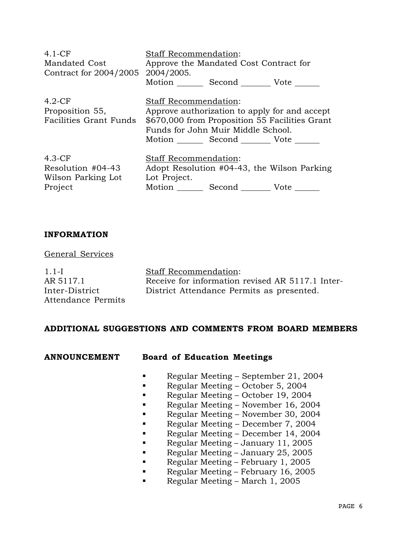| $4.1-CF$<br>Mandated Cost<br>Contract for 2004/2005            | Staff Recommendation:<br>2004/2005.   | Approve the Mandated Cost Contract for<br>Motion _________ Second __________ Vote _______                 |                                                |
|----------------------------------------------------------------|---------------------------------------|-----------------------------------------------------------------------------------------------------------|------------------------------------------------|
| $4.2-CF$<br>Proposition 55,<br><b>Facilities Grant Funds</b>   | Staff Recommendation:                 | Approve authorization to apply for and accept<br>Funds for John Muir Middle School.<br>Motion Second Vote | \$670,000 from Proposition 55 Facilities Grant |
| $4.3-CF$<br>Resolution #04-43<br>Wilson Parking Lot<br>Project | Staff Recommendation:<br>Lot Project. | Motion ________ Second _________ Vote _______                                                             | Adopt Resolution #04-43, the Wilson Parking    |

## **INFORMATION**

## General Services

1.1-I AR 5117.1 Inter-District Attendance Permits Staff Recommendation: Receive for information revised AR 5117.1 Inter-District Attendance Permits as presented.

## **ADDITIONAL SUGGESTIONS AND COMMENTS FROM BOARD MEMBERS**

## **ANNOUNCEMENT Board of Education Meetings**

- Regular Meeting September 21, 2004
- Regular Meeting October 5, 2004
- Regular Meeting October 19, 2004
- Regular Meeting November 16, 2004
- Regular Meeting November 30, 2004
- Regular Meeting December 7, 2004
- Regular Meeting December 14, 2004
- Regular Meeting January 11, 2005
- Regular Meeting January 25, 2005
- Regular Meeting February 1, 2005
- Regular Meeting February 16, 2005
- Regular Meeting March 1, 2005